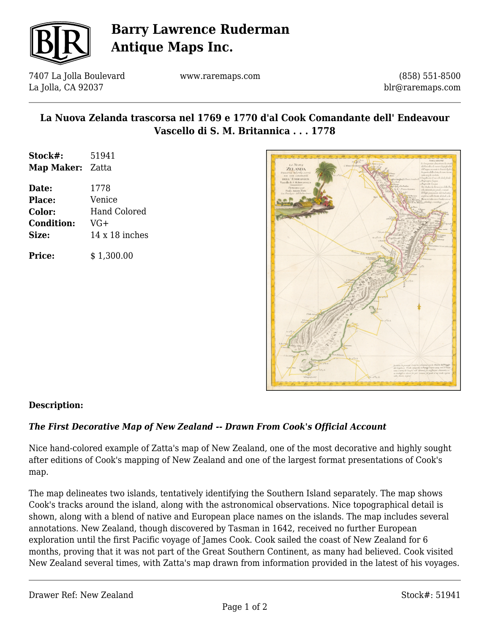

# **Barry Lawrence Ruderman Antique Maps Inc.**

7407 La Jolla Boulevard La Jolla, CA 92037

www.raremaps.com

(858) 551-8500 blr@raremaps.com

## **La Nuova Zelanda trascorsa nel 1769 e 1770 d'al Cook Comandante dell' Endeavour Vascello di S. M. Britannica . . . 1778**

| Stock#:                 | 51941 |
|-------------------------|-------|
| <b>Map Maker:</b> Zatta |       |
| Date:                   | 1778  |

| .                 | .                     |
|-------------------|-----------------------|
| <b>Place:</b>     | Venice                |
| Color:            | <b>Hand Colored</b>   |
| <b>Condition:</b> | VG+                   |
| Size:             | $14 \times 18$ inches |
|                   |                       |
| <b>Price:</b>     | \$1,300.00            |



#### **Description:**

### *The First Decorative Map of New Zealand -- Drawn From Cook's Official Account*

Nice hand-colored example of Zatta's map of New Zealand, one of the most decorative and highly sought after editions of Cook's mapping of New Zealand and one of the largest format presentations of Cook's map.

The map delineates two islands, tentatively identifying the Southern Island separately. The map shows Cook's tracks around the island, along with the astronomical observations. Nice topographical detail is shown, along with a blend of native and European place names on the islands. The map includes several annotations. New Zealand, though discovered by Tasman in 1642, received no further European exploration until the first Pacific voyage of James Cook. Cook sailed the coast of New Zealand for 6 months, proving that it was not part of the Great Southern Continent, as many had believed. Cook visited New Zealand several times, with Zatta's map drawn from information provided in the latest of his voyages.